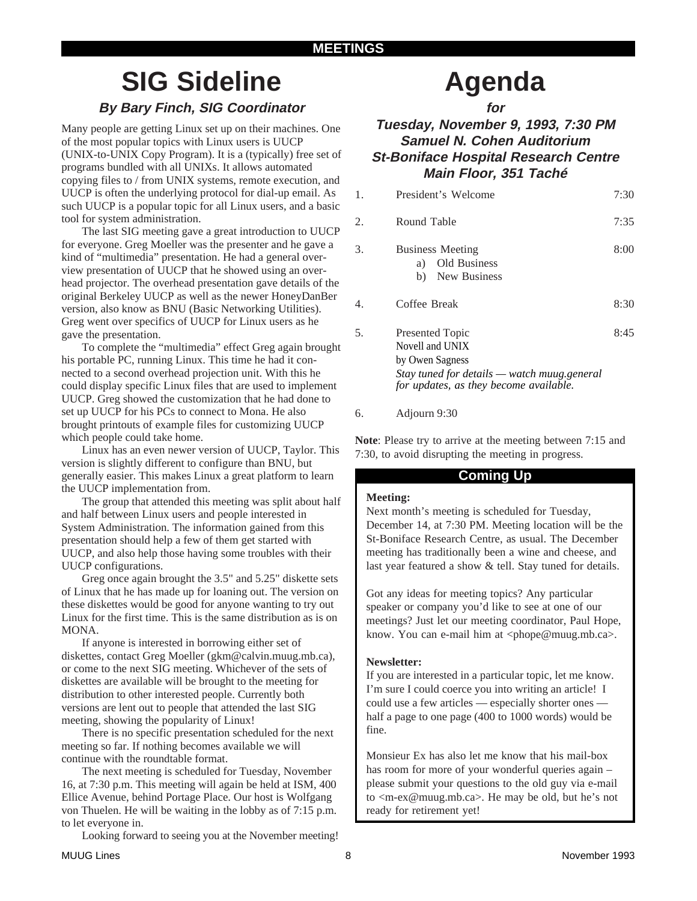# **SIG Sideline By Bary Finch, SIG Coordinator**

Many people are getting Linux set up on their machines. One of the most popular topics with Linux users is UUCP (UNIX-to-UNIX Copy Program). It is a (typically) free set of programs bundled with all UNIXs. It allows automated copying files to / from UNIX systems, remote execution, and UUCP is often the underlying protocol for dial-up email. As such UUCP is a popular topic for all Linux users, and a basic tool for system administration.

The last SIG meeting gave a great introduction to UUCP for everyone. Greg Moeller was the presenter and he gave a kind of "multimedia" presentation. He had a general overview presentation of UUCP that he showed using an overhead projector. The overhead presentation gave details of the original Berkeley UUCP as well as the newer HoneyDanBer version, also know as BNU (Basic Networking Utilities). Greg went over specifics of UUCP for Linux users as he gave the presentation.

To complete the "multimedia" effect Greg again brought his portable PC, running Linux. This time he had it connected to a second overhead projection unit. With this he could display specific Linux files that are used to implement UUCP. Greg showed the customization that he had done to set up UUCP for his PCs to connect to Mona. He also brought printouts of example files for customizing UUCP which people could take home.

Linux has an even newer version of UUCP, Taylor. This version is slightly different to configure than BNU, but generally easier. This makes Linux a great platform to learn the UUCP implementation from.

The group that attended this meeting was split about half and half between Linux users and people interested in System Administration. The information gained from this presentation should help a few of them get started with UUCP, and also help those having some troubles with their UUCP configurations.

Greg once again brought the 3.5" and 5.25" diskette sets of Linux that he has made up for loaning out. The version on these diskettes would be good for anyone wanting to try out Linux for the first time. This is the same distribution as is on MONA.

If anyone is interested in borrowing either set of diskettes, contact Greg Moeller (gkm@calvin.muug.mb.ca), or come to the next SIG meeting. Whichever of the sets of diskettes are available will be brought to the meeting for distribution to other interested people. Currently both versions are lent out to people that attended the last SIG meeting, showing the popularity of Linux!

There is no specific presentation scheduled for the next meeting so far. If nothing becomes available we will continue with the roundtable format.

The next meeting is scheduled for Tuesday, November 16, at 7:30 p.m. This meeting will again be held at ISM, 400 Ellice Avenue, behind Portage Place. Our host is Wolfgang von Thuelen. He will be waiting in the lobby as of 7:15 p.m. to let everyone in.

Looking forward to seeing you at the November meeting!

# **Agenda**

**for**

# **Tuesday, November 9, 1993, 7:30 PM Samuel N. Cohen Auditorium St-Boniface Hospital Research Centre Main Floor, 351 Taché**

| $1_{-}$ | President's Welcome                                                                                                                                   | 7:30 |
|---------|-------------------------------------------------------------------------------------------------------------------------------------------------------|------|
| 2.      | Round Table                                                                                                                                           | 7:35 |
| 3.      | <b>Business Meeting</b><br>Old Business<br>a)<br>New Business<br>b)                                                                                   | 8:00 |
| 4.      | Coffee Break                                                                                                                                          | 8:30 |
| 5.      | <b>Presented Topic</b><br>Novell and UNIX<br>by Owen Sagness<br>Stay tuned for details — watch muug general<br>for updates, as they become available. | 8:45 |

### 6. Adjourn 9:30

**Note**: Please try to arrive at the meeting between 7:15 and 7:30, to avoid disrupting the meeting in progress.

# **Coming Up**

### **Meeting:**

Next month's meeting is scheduled for Tuesday, December 14, at 7:30 PM. Meeting location will be the St-Boniface Research Centre, as usual. The December meeting has traditionally been a wine and cheese, and last year featured a show & tell. Stay tuned for details.

Got any ideas for meeting topics? Any particular speaker or company you'd like to see at one of our meetings? Just let our meeting coordinator, Paul Hope, know. You can e-mail him at  $\langle$ phope@muug.mb.ca $\rangle$ .

## **Newsletter:**

If you are interested in a particular topic, let me know. I'm sure I could coerce you into writing an article! I could use a few articles — especially shorter ones half a page to one page (400 to 1000 words) would be fine.

Monsieur Ex has also let me know that his mail-box has room for more of your wonderful queries again – please submit your questions to the old guy via e-mail to <m-ex@muug.mb.ca>. He may be old, but he's not ready for retirement yet!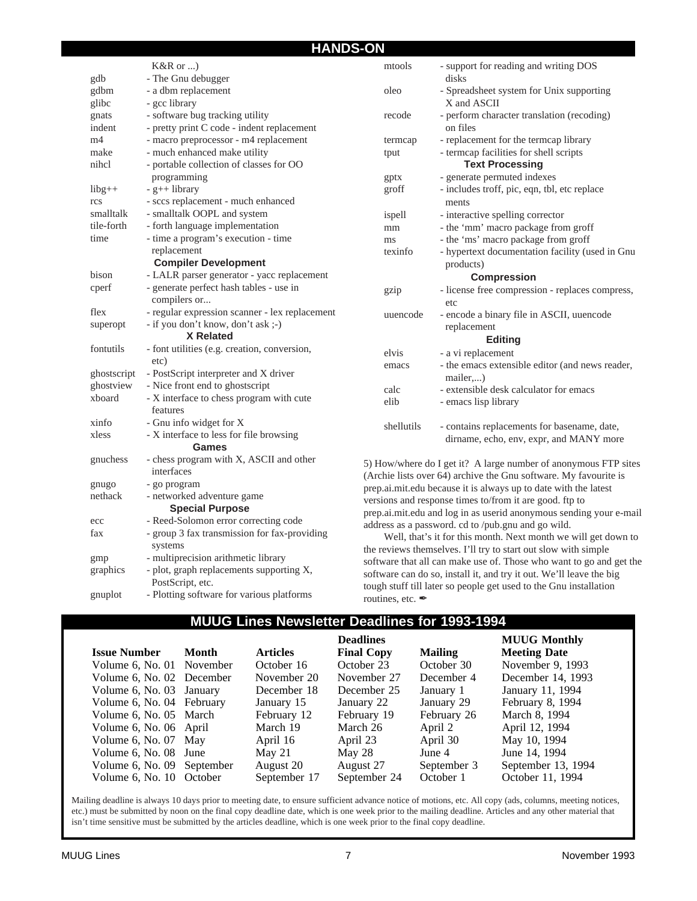## **HANDS-ON**

|                | $K&R$ or )                                              | mtools     | - support for reading and writing DOS                                                                                               |
|----------------|---------------------------------------------------------|------------|-------------------------------------------------------------------------------------------------------------------------------------|
| gdb            | - The Gnu debugger                                      |            | disks                                                                                                                               |
| gdbm           | - a dbm replacement                                     | oleo       | - Spreadsheet system for Unix supporting                                                                                            |
| glibc          | - gcc library                                           |            | X and ASCII                                                                                                                         |
| gnats          | - software bug tracking utility                         | recode     | - perform character translation (recoding)                                                                                          |
| indent         | - pretty print C code - indent replacement              |            | on files                                                                                                                            |
| m <sub>4</sub> | - macro preprocessor - m4 replacement                   | termcap    | - replacement for the termcap library                                                                                               |
| make           | - much enhanced make utility                            | tput       | - termcap facilities for shell scripts                                                                                              |
| nihcl          | - portable collection of classes for OO                 |            | <b>Text Processing</b>                                                                                                              |
|                | programming                                             | gptx       | - generate permuted indexes                                                                                                         |
| $libg++$       | $- g++ library$                                         | groff      | - includes troff, pic, eqn, tbl, etc replace                                                                                        |
| rcs            | - sccs replacement - much enhanced                      |            | ments                                                                                                                               |
| smalltalk      | - smalltalk OOPL and system                             | ispell     | - interactive spelling corrector                                                                                                    |
| tile-forth     | - forth language implementation                         | mm         | - the 'mm' macro package from groff                                                                                                 |
| time           | - time a program's execution - time                     | ms         | - the 'ms' macro package from groff                                                                                                 |
|                | replacement                                             | texinfo    | - hypertext documentation facility (used in Gnu                                                                                     |
|                | <b>Compiler Development</b>                             |            | products)                                                                                                                           |
| bison          | - LALR parser generator - yacc replacement              |            | <b>Compression</b>                                                                                                                  |
| cperf          | - generate perfect hash tables - use in<br>compilers or | gzip       | - license free compression - replaces compress,<br>etc                                                                              |
| flex           | - regular expression scanner - lex replacement          |            |                                                                                                                                     |
| superopt       | - if you don't know, don't ask ;-)                      | uuencode   | - encode a binary file in ASCII, uuencode                                                                                           |
|                | X Related                                               |            | replacement                                                                                                                         |
| fontutils      | - font utilities (e.g. creation, conversion,            |            | <b>Editing</b>                                                                                                                      |
|                | etc)                                                    | elvis      | - a vi replacement                                                                                                                  |
| ghostscript    | - PostScript interpreter and X driver                   | emacs      | - the emacs extensible editor (and news reader,                                                                                     |
| ghostview      | - Nice front end to ghostscript                         |            | mailer)                                                                                                                             |
| xboard         | - X interface to chess program with cute                | calc       | - extensible desk calculator for emacs                                                                                              |
|                | features                                                | elib       | - emacs lisp library                                                                                                                |
| xinfo          | - Gnu info widget for X                                 | shellutils | - contains replacements for basename, date,                                                                                         |
| xless          | - X interface to less for file browsing<br>Games        |            | dirname, echo, env, expr, and MANY more                                                                                             |
| gnuchess       | - chess program with X, ASCII and other                 |            |                                                                                                                                     |
|                | interfaces                                              |            | 5) How/where do I get it? A large number of anonymous FTP sites<br>(Archie lists over 64) archive the Gnu software. My favourite is |
| gnugo          | - go program                                            |            | prep.ai.mit.edu because it is always up to date with the latest                                                                     |
| nethack        | - networked adventure game                              |            | versions and response times to/from it are good. ftp to                                                                             |
|                | <b>Special Purpose</b>                                  |            | prep.ai.mit.edu and log in as userid anonymous sending your e-mail                                                                  |
| ecc            | - Reed-Solomon error correcting code                    |            | address as a password. cd to /pub.gnu and go wild.                                                                                  |
| fax            | - group 3 fax transmission for fax-providing            |            | Well, that's it for this month. Next month we will get down to                                                                      |
|                | systems                                                 |            | the reviews themselves I'll try to start out slow with simple                                                                       |

the reviews themselves. I'll try to start out slow with simple software that all can make use of. Those who want to go and get the software can do so, install it, and try it out. We'll leave the big tough stuff till later so people get used to the Gnu installation routines, etc.

## **MUUG Lines Newsletter Deadlines for 1993-1994**

|                            |       |                 | <b>Deadlines</b>  |                | <b>MUUG Monthly</b> |
|----------------------------|-------|-----------------|-------------------|----------------|---------------------|
| <b>Issue Number</b>        | Month | <b>Articles</b> | <b>Final Copy</b> | <b>Mailing</b> | <b>Meeting Date</b> |
| Volume 6, No. 01 November  |       | October 16      | October 23        | October 30     | November 9, 1993    |
| Volume 6, No. 02 December  |       | November 20     | November 27       | December 4     | December 14, 1993   |
| Volume 6, No. 03 January   |       | December 18     | December 25       | January 1      | January 11, 1994    |
| Volume 6, No. 04 February  |       | January 15      | January 22        | January 29     | February 8, 1994    |
| Volume 6, No. 05 March     |       | February 12     | February 19       | February 26    | March 8, 1994       |
| Volume 6, No. 06 April     |       | March 19        | March 26          | April 2        | April 12, 1994      |
| Volume 6, No. 07 May       |       | April 16        | April 23          | April 30       | May 10, 1994        |
| Volume 6, No. 08 June      |       | May 21          | May 28            | June 4         | June 14, 1994       |
| Volume 6, No. 09 September |       | August 20       | August 27         | September 3    | September 13, 1994  |
| Volume 6, No. 10 October   |       | September 17    | September 24      | October 1      | October 11, 1994    |

Mailing deadline is always 10 days prior to meeting date, to ensure sufficient advance notice of motions, etc. All copy (ads, columns, meeting notices, etc.) must be submitted by noon on the final copy deadline date, which is one week prior to the mailing deadline. Articles and any other material that isn't time sensitive must be submitted by the articles deadline, which is one week prior to the final copy deadline.

gmp - multiprecision arithmetic library graphics - plot, graph replacements supporting X, PostScript, etc.

gnuplot - Plotting software for various platforms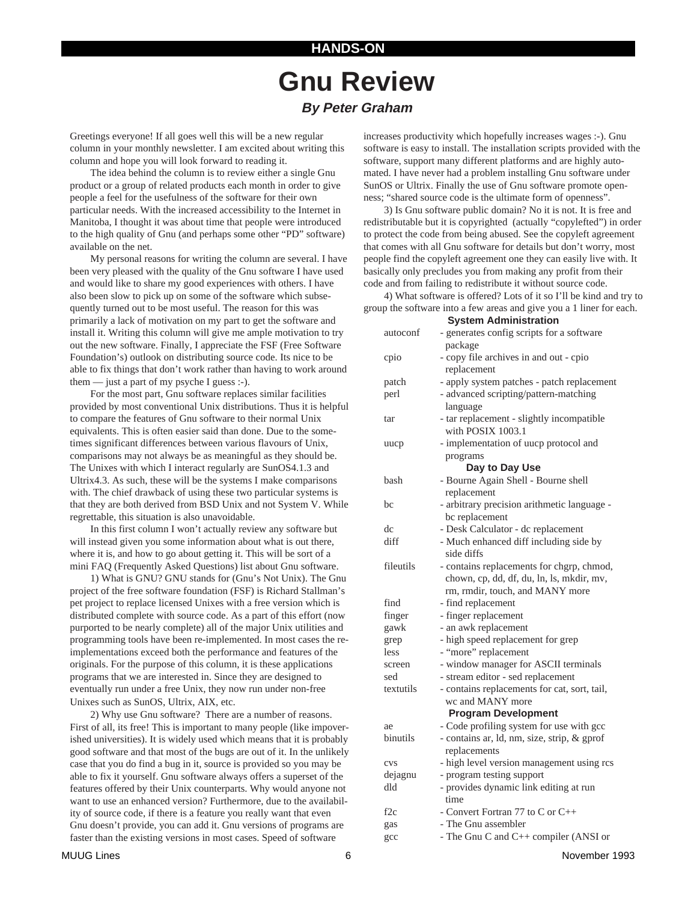# **Gnu Review By Peter Graham**

Greetings everyone! If all goes well this will be a new regular column in your monthly newsletter. I am excited about writing this column and hope you will look forward to reading it.

The idea behind the column is to review either a single Gnu product or a group of related products each month in order to give people a feel for the usefulness of the software for their own particular needs. With the increased accessibility to the Internet in Manitoba, I thought it was about time that people were introduced to the high quality of Gnu (and perhaps some other "PD" software) available on the net.

My personal reasons for writing the column are several. I have been very pleased with the quality of the Gnu software I have used and would like to share my good experiences with others. I have also been slow to pick up on some of the software which subsequently turned out to be most useful. The reason for this was primarily a lack of motivation on my part to get the software and install it. Writing this column will give me ample motivation to try out the new software. Finally, I appreciate the FSF (Free Software Foundation's) outlook on distributing source code. Its nice to be able to fix things that don't work rather than having to work around them — just a part of my psyche I guess :-).

For the most part, Gnu software replaces similar facilities provided by most conventional Unix distributions. Thus it is helpful to compare the features of Gnu software to their normal Unix equivalents. This is often easier said than done. Due to the sometimes significant differences between various flavours of Unix, comparisons may not always be as meaningful as they should be. The Unixes with which I interact regularly are SunOS4.1.3 and Ultrix4.3. As such, these will be the systems I make comparisons with. The chief drawback of using these two particular systems is that they are both derived from BSD Unix and not System V. While regrettable, this situation is also unavoidable.

In this first column I won't actually review any software but will instead given you some information about what is out there, where it is, and how to go about getting it. This will be sort of a mini FAQ (Frequently Asked Questions) list about Gnu software.

1) What is GNU? GNU stands for (Gnu's Not Unix). The Gnu project of the free software foundation (FSF) is Richard Stallman's pet project to replace licensed Unixes with a free version which is distributed complete with source code. As a part of this effort (now purported to be nearly complete) all of the major Unix utilities and programming tools have been re-implemented. In most cases the reimplementations exceed both the performance and features of the originals. For the purpose of this column, it is these applications programs that we are interested in. Since they are designed to eventually run under a free Unix, they now run under non-free Unixes such as SunOS, Ultrix, AIX, etc.

2) Why use Gnu software? There are a number of reasons. First of all, its free! This is important to many people (like impoverished universities). It is widely used which means that it is probably good software and that most of the bugs are out of it. In the unlikely case that you do find a bug in it, source is provided so you may be able to fix it yourself. Gnu software always offers a superset of the features offered by their Unix counterparts. Why would anyone not want to use an enhanced version? Furthermore, due to the availability of source code, if there is a feature you really want that even Gnu doesn't provide, you can add it. Gnu versions of programs are faster than the existing versions in most cases. Speed of software

increases productivity which hopefully increases wages :-). Gnu software is easy to install. The installation scripts provided with the software, support many different platforms and are highly automated. I have never had a problem installing Gnu software under SunOS or Ultrix. Finally the use of Gnu software promote openness; "shared source code is the ultimate form of openness".

3) Is Gnu software public domain? No it is not. It is free and redistributable but it is copyrighted (actually "copylefted") in order to protect the code from being abused. See the copyleft agreement that comes with all Gnu software for details but don't worry, most people find the copyleft agreement one they can easily live with. It basically only precludes you from making any profit from their code and from failing to redistribute it without source code.

4) What software is offered? Lots of it so I'll be kind and try to group the software into a few areas and give you a 1 liner for each.

**System Administration** autoconf - generates config scripts for a software package cpio - copy file archives in and out - cpio replacement patch - apply system patches - patch replacement perl - advanced scripting/pattern-matching language tar - tar replacement - slightly incompatible with POSIX 1003.1 uucp - implementation of uucp protocol and programs **Day to Day Use** bash - Bourne Again Shell - Bourne shell replacement bc - arbitrary precision arithmetic language bc replacement dc - Desk Calculator - dc replacement diff - Much enhanced diff including side by side diffs fileutils - contains replacements for chgrp, chmod, chown, cp, dd, df, du, ln, ls, mkdir, mv, rm, rmdir, touch, and MANY more find - find replacement finger - finger replacement gawk - an awk replacement grep - high speed replacement for grep less - "more" replacement screen - window manager for ASCII terminals sed - stream editor - sed replacement textutils - contains replacements for cat, sort, tail, wc and MANY more **Program Development** ae - Code profiling system for use with gcc binutils - contains ar, ld, nm, size, strip, & gprof replacements cvs - high level version management using rcs dejagnu - program testing support dld - provides dynamic link editing at run time f2c - Convert Fortran 77 to C or C++ gas - The Gnu assembler gcc - The Gnu C and C++ compiler (ANSI or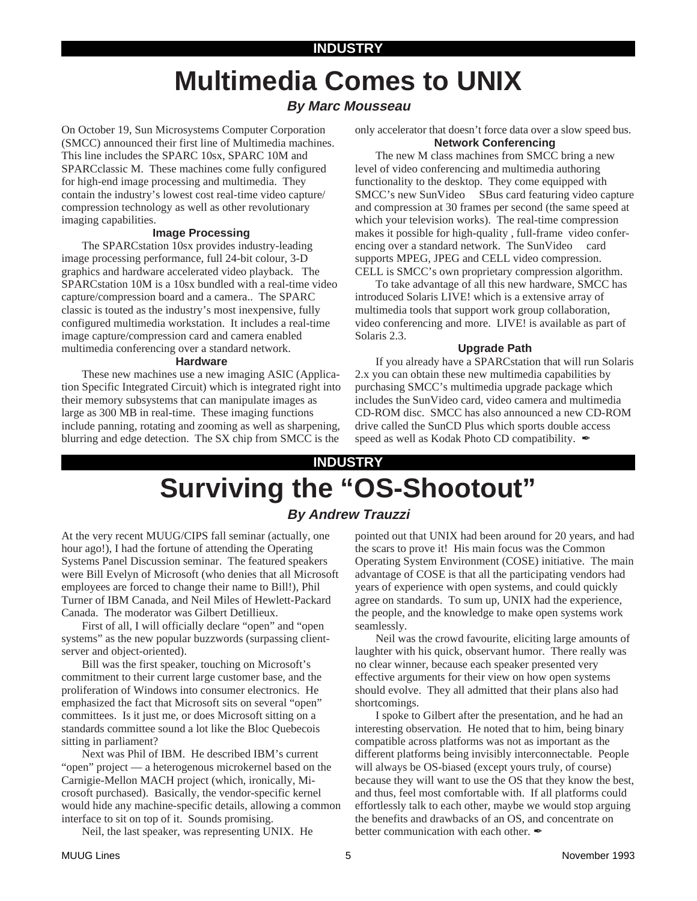## **INDUSTRY**

# **Multimedia Comes to UNIX**

# **By Marc Mousseau**

On October 19, Sun Microsystems Computer Corporation (SMCC) announced their first line of Multimedia machines. This line includes the SPARC 10sx, SPARC 10M and SPARCclassic M. These machines come fully configured for high-end image processing and multimedia. They contain the industry's lowest cost real-time video capture/ compression technology as well as other revolutionary imaging capabilities.

#### **Image Processing**

The SPARCstation 10sx provides industry-leading image processing performance, full 24-bit colour, 3-D graphics and hardware accelerated video playback. The SPARCstation 10M is a 10sx bundled with a real-time video capture/compression board and a camera.. The SPARC classic is touted as the industry's most inexpensive, fully configured multimedia workstation. It includes a real-time image capture/compression card and camera enabled multimedia conferencing over a standard network.

#### **Hardware**

These new machines use a new imaging ASIC (Application Specific Integrated Circuit) which is integrated right into their memory subsystems that can manipulate images as large as 300 MB in real-time. These imaging functions include panning, rotating and zooming as well as sharpening, blurring and edge detection. The SX chip from SMCC is the

only accelerator that doesn't force data over a slow speed bus. **Network Conferencing**

The new M class machines from SMCC bring a new level of video conferencing and multimedia authoring functionality to the desktop. They come equipped with SMCC's new SunVideo™ SBus card featuring video capture and compression at 30 frames per second (the same speed at which your television works). The real-time compression makes it possible for high-quality , full-frame video conferencing over a standard network. The SunVideo<sup>TM</sup> card supports MPEG, JPEG and CELL video compression. CELL is SMCC's own proprietary compression algorithm.

To take advantage of all this new hardware, SMCC has introduced Solaris LIVE! which is a extensive array of multimedia tools that support work group collaboration, video conferencing and more. LIVE! is available as part of Solaris 2.3.

#### **Upgrade Path**

If you already have a SPARCstation that will run Solaris 2.x you can obtain these new multimedia capabilities by purchasing SMCC's multimedia upgrade package which includes the SunVideo card, video camera and multimedia CD-ROM disc. SMCC has also announced a new CD-ROM drive called the SunCD Plus which sports double access speed as well as Kodak Photo CD compatibility.  $\mathscr{I}$ 

# **Surviving the "OS-Shootout" INDUSTRY**

# **By Andrew Trauzzi**

At the very recent MUUG/CIPS fall seminar (actually, one hour ago!), I had the fortune of attending the Operating Systems Panel Discussion seminar. The featured speakers were Bill Evelyn of Microsoft (who denies that all Microsoft employees are forced to change their name to Bill!), Phil Turner of IBM Canada, and Neil Miles of Hewlett-Packard Canada. The moderator was Gilbert Detillieux.

First of all, I will officially declare "open" and "open systems" as the new popular buzzwords (surpassing clientserver and object-oriented).

Bill was the first speaker, touching on Microsoft's commitment to their current large customer base, and the proliferation of Windows into consumer electronics. He emphasized the fact that Microsoft sits on several "open" committees. Is it just me, or does Microsoft sitting on a standards committee sound a lot like the Bloc Quebecois sitting in parliament?

Next was Phil of IBM. He described IBM's current "open" project — a heterogenous microkernel based on the Carnigie-Mellon MACH project (which, ironically, Microsoft purchased). Basically, the vendor-specific kernel would hide any machine-specific details, allowing a common interface to sit on top of it. Sounds promising.

Neil, the last speaker, was representing UNIX. He

pointed out that UNIX had been around for 20 years, and had the scars to prove it! His main focus was the Common Operating System Environment (COSE) initiative. The main advantage of COSE is that all the participating vendors had years of experience with open systems, and could quickly agree on standards. To sum up, UNIX had the experience, the people, and the knowledge to make open systems work seamlessly.

Neil was the crowd favourite, eliciting large amounts of laughter with his quick, observant humor. There really was no clear winner, because each speaker presented very effective arguments for their view on how open systems should evolve. They all admitted that their plans also had shortcomings.

I spoke to Gilbert after the presentation, and he had an interesting observation. He noted that to him, being binary compatible across platforms was not as important as the different platforms being invisibly interconnectable. People will always be OS-biased (except yours truly, of course) because they will want to use the OS that they know the best, and thus, feel most comfortable with. If all platforms could effortlessly talk to each other, maybe we would stop arguing the benefits and drawbacks of an OS, and concentrate on better communication with each other.  $\mathscr{I}$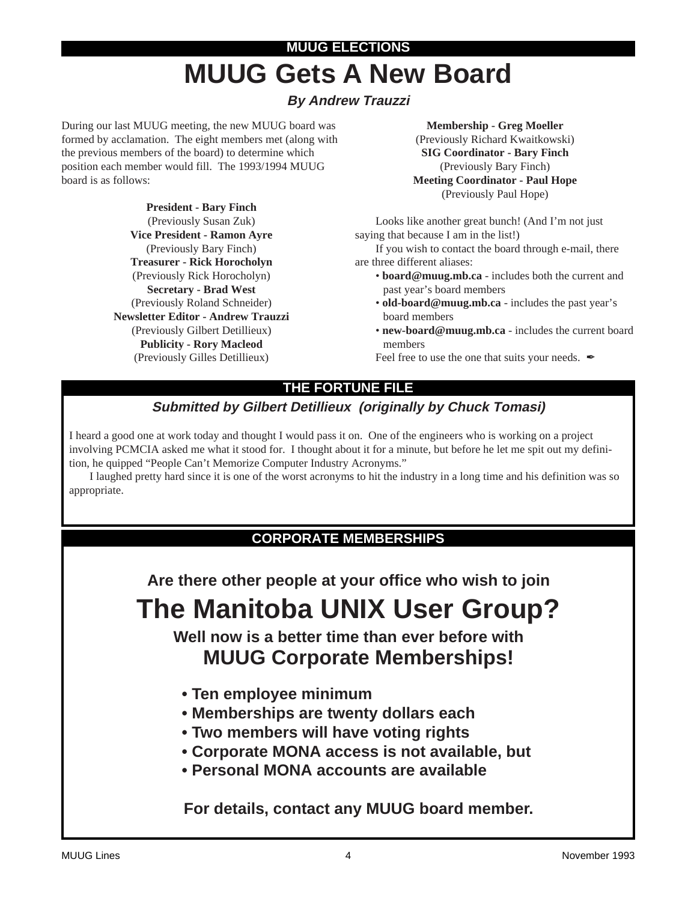# **MUUG ELECTIONS MUUG Gets A New Board**

# **By Andrew Trauzzi**

During our last MUUG meeting, the new MUUG board was formed by acclamation. The eight members met (along with the previous members of the board) to determine which position each member would fill. The 1993/1994 MUUG board is as follows:

> **President - Bary Finch** (Previously Susan Zuk) **Vice President - Ramon Ayre** (Previously Bary Finch) **Treasurer - Rick Horocholyn** (Previously Rick Horocholyn) **Secretary - Brad West** (Previously Roland Schneider) **Newsletter Editor - Andrew Trauzzi** (Previously Gilbert Detillieux) **Publicity - Rory Macleod** (Previously Gilles Detillieux)

**Membership - Greg Moeller** (Previously Richard Kwaitkowski) **SIG Coordinator - Bary Finch** (Previously Bary Finch) **Meeting Coordinator - Paul Hope** (Previously Paul Hope)

Looks like another great bunch! (And I'm not just saying that because I am in the list!)

If you wish to contact the board through e-mail, there are three different aliases:

- **board@muug.mb.ca** includes both the current and past year's board members
- **old-board@muug.mb.ca** includes the past year's board members
- **new-board@muug.mb.ca** includes the current board members

Feel free to use the one that suits your needs.  $\blacktriangle$ 

# **THE FORTUNE FILE**

# **Submitted by Gilbert Detillieux (originally by Chuck Tomasi)**

I heard a good one at work today and thought I would pass it on. One of the engineers who is working on a project involving PCMCIA asked me what it stood for. I thought about it for a minute, but before he let me spit out my definition, he quipped "People Can't Memorize Computer Industry Acronyms."

I laughed pretty hard since it is one of the worst acronyms to hit the industry in a long time and his definition was so appropriate.

# **CORPORATE MEMBERSHIPS**

**Are there other people at your office who wish to join**

# **The Manitoba UNIX User Group?**

**Well now is a better time than ever before with MUUG Corporate Memberships!**

- **Ten employee minimum**
- **Memberships are twenty dollars each**
- **Two members will have voting rights**
- **Corporate MONA access is not available, but**
- **Personal MONA accounts are available**

**For details, contact any MUUG board member.**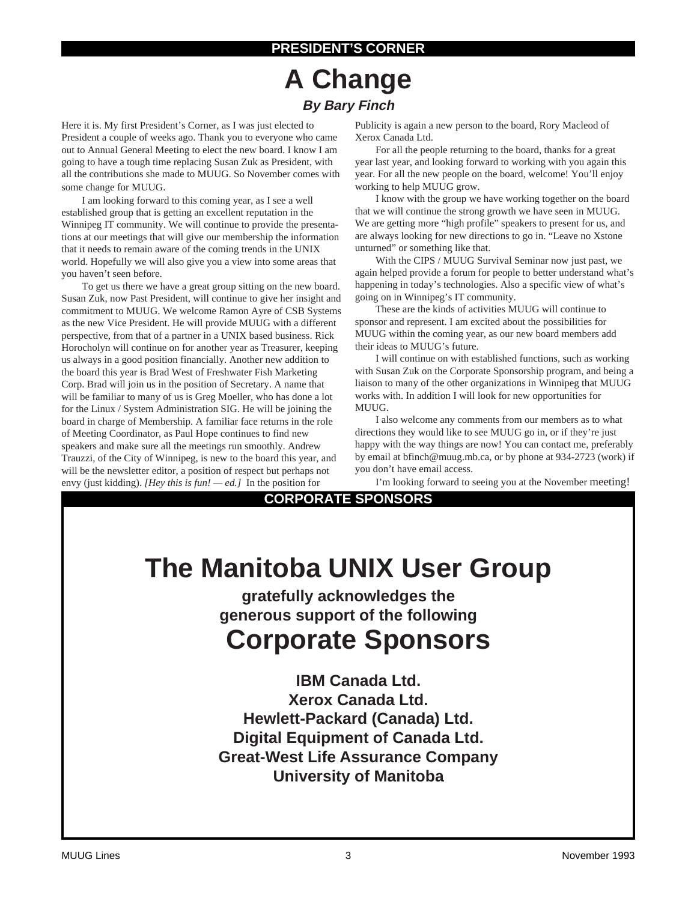# **PRESIDENT'S CORNER**

# **A Change By Bary Finch**

Here it is. My first President's Corner, as I was just elected to President a couple of weeks ago. Thank you to everyone who came out to Annual General Meeting to elect the new board. I know I am going to have a tough time replacing Susan Zuk as President, with all the contributions she made to MUUG. So November comes with some change for MUUG.

I am looking forward to this coming year, as I see a well established group that is getting an excellent reputation in the Winnipeg IT community. We will continue to provide the presentations at our meetings that will give our membership the information that it needs to remain aware of the coming trends in the UNIX world. Hopefully we will also give you a view into some areas that you haven't seen before.

To get us there we have a great group sitting on the new board. Susan Zuk, now Past President, will continue to give her insight and commitment to MUUG. We welcome Ramon Ayre of CSB Systems as the new Vice President. He will provide MUUG with a different perspective, from that of a partner in a UNIX based business. Rick Horocholyn will continue on for another year as Treasurer, keeping us always in a good position financially. Another new addition to the board this year is Brad West of Freshwater Fish Marketing Corp. Brad will join us in the position of Secretary. A name that will be familiar to many of us is Greg Moeller, who has done a lot for the Linux / System Administration SIG. He will be joining the board in charge of Membership. A familiar face returns in the role of Meeting Coordinator, as Paul Hope continues to find new speakers and make sure all the meetings run smoothly. Andrew Trauzzi, of the City of Winnipeg, is new to the board this year, and will be the newsletter editor, a position of respect but perhaps not envy (just kidding). *[Hey this is fun! — ed.]* In the position for

Publicity is again a new person to the board, Rory Macleod of Xerox Canada Ltd.

For all the people returning to the board, thanks for a great year last year, and looking forward to working with you again this year. For all the new people on the board, welcome! You'll enjoy working to help MUUG grow.

I know with the group we have working together on the board that we will continue the strong growth we have seen in MUUG. We are getting more "high profile" speakers to present for us, and are always looking for new directions to go in. "Leave no Xstone unturned" or something like that.

With the CIPS / MUUG Survival Seminar now just past, we again helped provide a forum for people to better understand what's happening in today's technologies. Also a specific view of what's going on in Winnipeg's IT community.

These are the kinds of activities MUUG will continue to sponsor and represent. I am excited about the possibilities for MUUG within the coming year, as our new board members add their ideas to MUUG's future.

I will continue on with established functions, such as working with Susan Zuk on the Corporate Sponsorship program, and being a liaison to many of the other organizations in Winnipeg that MUUG works with. In addition I will look for new opportunities for MUUG.

I also welcome any comments from our members as to what directions they would like to see MUUG go in, or if they're just happy with the way things are now! You can contact me, preferably by email at bfinch@muug.mb.ca, or by phone at 934-2723 (work) if you don't have email access.

I'm looking forward to seeing you at the November meeting!

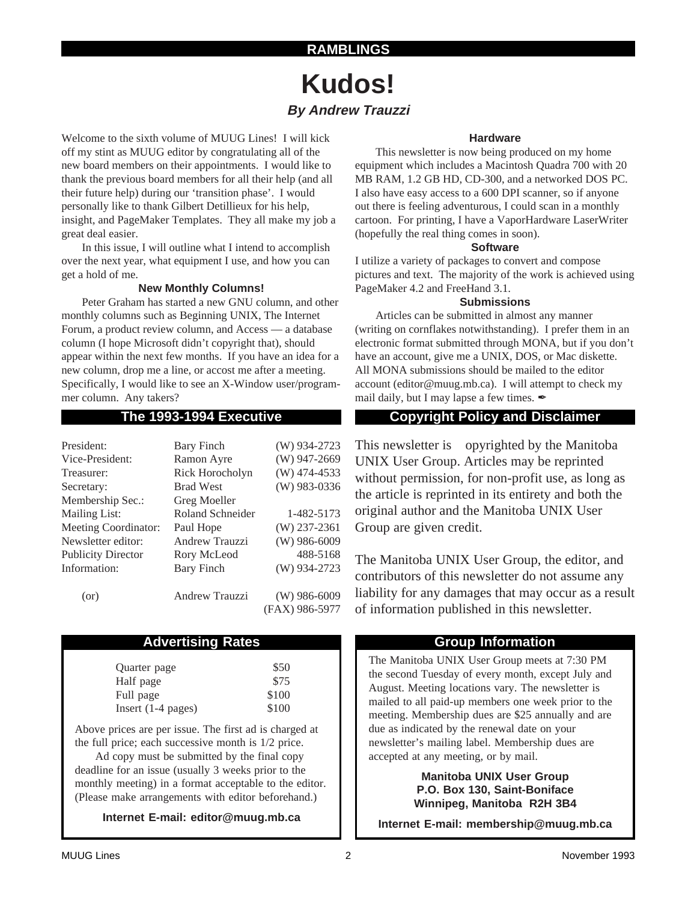# **RAMBLINGS**

# **Kudos! By Andrew Trauzzi**

Welcome to the sixth volume of MUUG Lines! I will kick off my stint as MUUG editor by congratulating all of the new board members on their appointments. I would like to thank the previous board members for all their help (and all their future help) during our 'transition phase'. I would personally like to thank Gilbert Detillieux for his help, insight, and PageMaker Templates. They all make my job a great deal easier.

In this issue, I will outline what I intend to accomplish over the next year, what equipment I use, and how you can get a hold of me.

## **New Monthly Columns!**

Peter Graham has started a new GNU column, and other monthly columns such as Beginning UNIX, The Internet Forum, a product review column, and Access — a database column (I hope Microsoft didn't copyright that), should appear within the next few months. If you have an idea for a new column, drop me a line, or accost me after a meeting. Specifically, I would like to see an X-Window user/programmer column. Any takers?

| President:                  | <b>Bary Finch</b>       | (W) 934-2723   |
|-----------------------------|-------------------------|----------------|
| Vice-President:             | Ramon Ayre              | $(W)$ 947-2669 |
| Treasurer:                  | Rick Horocholyn         | $(W)$ 474-4533 |
| Secretary:                  | <b>Brad West</b>        | $(W)$ 983-0336 |
| Membership Sec.:            | Greg Moeller            |                |
| <b>Mailing List:</b>        | <b>Roland Schneider</b> | 1-482-5173     |
| <b>Meeting Coordinator:</b> | Paul Hope               | $(W)$ 237-2361 |
| Newsletter editor:          | Andrew Trauzzi          | $(W)$ 986-6009 |
| <b>Publicity Director</b>   | Rory McLeod             | 488-5168       |
| Information:                | <b>Bary Finch</b>       | $(W)$ 934-2723 |
| (or)                        | Andrew Trauzzi          | $(W)$ 986-6009 |
|                             |                         | (FAX) 986-5977 |

# Advertising Rates **Group Information**

| Quarter page         | \$50  |
|----------------------|-------|
| Half page            | \$75  |
| Full page            | \$100 |
| Insert $(1-4$ pages) | \$100 |

Above prices are per issue. The first ad is charged at the full price; each successive month is 1/2 price.

Ad copy must be submitted by the final copy deadline for an issue (usually 3 weeks prior to the monthly meeting) in a format acceptable to the editor. (Please make arrangements with editor beforehand.)

**Internet E-mail: editor@muug.mb.ca**

## **Hardware**

This newsletter is now being produced on my home equipment which includes a Macintosh Quadra 700 with 20 MB RAM, 1.2 GB HD, CD-300, and a networked DOS PC. I also have easy access to a 600 DPI scanner, so if anyone out there is feeling adventurous, I could scan in a monthly cartoon. For printing, I have a VaporHardware LaserWriter (hopefully the real thing comes in soon).

#### **Software**

I utilize a variety of packages to convert and compose pictures and text. The majority of the work is achieved using PageMaker 4.2 and FreeHand 3.1.

## **Submissions**

Articles can be submitted in almost any manner (writing on cornflakes notwithstanding). I prefer them in an electronic format submitted through MONA, but if you don't have an account, give me a UNIX, DOS, or Mac diskette. All MONA submissions should be mailed to the editor account (editor@muug.mb.ca). I will attempt to check my mail daily, but I may lapse a few times.  $\mathscr{I}$ 

# **The 1993-1994 Executive Copyright Policy and Disclaimer**

This newsletter is Copyrighted by the Manitoba UNIX User Group. Articles may be reprinted without permission, for non-profit use, as long as the article is reprinted in its entirety and both the original author and the Manitoba UNIX User Group are given credit.

The Manitoba UNIX User Group, the editor, and contributors of this newsletter do not assume any liability for any damages that may occur as a result of information published in this newsletter.

The Manitoba UNIX User Group meets at 7:30 PM the second Tuesday of every month, except July and August. Meeting locations vary. The newsletter is mailed to all paid-up members one week prior to the meeting. Membership dues are \$25 annually and are due as indicated by the renewal date on your newsletter's mailing label. Membership dues are accepted at any meeting, or by mail.

> **Manitoba UNIX User Group P.O. Box 130, Saint-Boniface Winnipeg, Manitoba R2H 3B4**

**Internet E-mail: membership@muug.mb.ca**